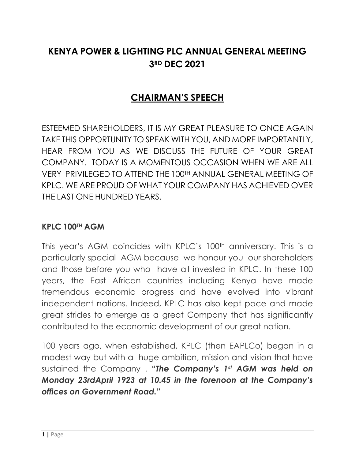# **KENYA POWER & LIGHTING PLC ANNUAL GENERAL MEETING 3RD DEC 2021**

# **CHAIRMAN'S SPEECH**

ESTEEMED SHAREHOLDERS, IT IS MY GREAT PLEASURE TO ONCE AGAIN TAKE THIS OPPORTUNITY TO SPEAK WITH YOU, AND MORE IMPORTANTLY, HEAR FROM YOU AS WE DISCUSS THE FUTURE OF YOUR GREAT COMPANY. TODAY IS A MOMENTOUS OCCASION WHEN WE ARE ALL VERY PRIVILEGED TO ATTEND THE 100TH ANNUAL GENERAL MEETING OF KPLC. WE ARE PROUD OF WHAT YOUR COMPANY HAS ACHIEVED OVER THE LAST ONE HUNDRED YEARS.

#### **KPLC 100TH AGM**

This year's AGM coincides with KPLC's 100<sup>th</sup> anniversary. This is a particularly special AGM because we honour you our shareholders and those before you who have all invested in KPLC. In these 100 years, the East African countries including Kenya have made tremendous economic progress and have evolved into vibrant independent nations. Indeed, KPLC has also kept pace and made great strides to emerge as a great Company that has significantly contributed to the economic development of our great nation.

100 years ago, when established, KPLC (then EAPLCo) began in a modest way but with a huge ambition, mission and vision that have sustained the Company . **"***The Company's 1st AGM was held on Monday 23rdApril 1923 at 10.45 in the forenoon at the Company's offices on Government Road.***"**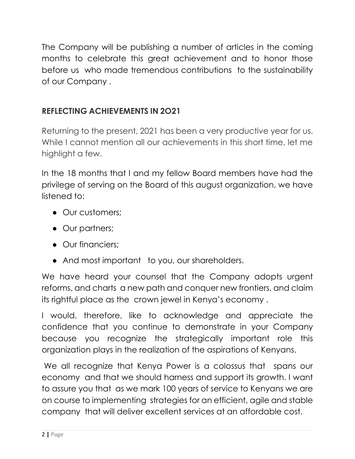The Company will be publishing a number of articles in the coming months to celebrate this great achievement and to honor those before us who made tremendous contributions to the sustainability of our Company .

# **REFLECTING ACHIEVEMENTS IN 2O21**

Returning to the present, 2021 has been a very productive year for us. While I cannot mention all our achievements in this short time, let me highlight a few.

In the 18 months that I and my fellow Board members have had the privilege of serving on the Board of this august organization, we have listened to:

- Our customers;
- Our partners;
- Our financiers:
- And most important to you, our shareholders.

We have heard your counsel that the Company adopts urgent reforms, and charts a new path and conquer new frontiers, and claim its rightful place as the crown jewel in Kenya's economy .

I would, therefore, like to acknowledge and appreciate the confidence that you continue to demonstrate in your Company because you recognize the strategically important role this organization plays in the realization of the aspirations of Kenyans.

We all recognize that Kenya Power is a colossus that spans our economy and that we should harness and support its growth. I want to assure you that as we mark 100 years of service to Kenyans we are on course to implementing strategies for an efficient, agile and stable company that will deliver excellent services at an affordable cost.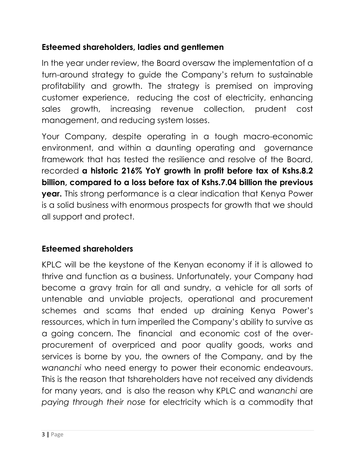# **Esteemed shareholders, ladies and gentlemen**

In the year under review, the Board oversaw the implementation of a turn-around strategy to guide the Company's return to sustainable profitability and growth. The strategy is premised on improving customer experience, reducing the cost of electricity, enhancing sales growth, increasing revenue collection, prudent cost management, and reducing system losses.

Your Company, despite operating in a tough macro-economic environment, and within a daunting operating and governance framework that has tested the resilience and resolve of the Board, recorded **a historic 216% YoY growth in profit before tax of Kshs.8.2 billion, compared to a loss before tax of Kshs.7.04 billion the previous year.** This strong performance is a clear indication that Kenya Power is a solid business with enormous prospects for growth that we should all support and protect.

### **Esteemed shareholders**

KPLC will be the keystone of the Kenyan economy if it is allowed to thrive and function as a business. Unfortunately, your Company had become a gravy train for all and sundry, a vehicle for all sorts of untenable and unviable projects, operational and procurement schemes and scams that ended up draining Kenya Power's ressources, which in turn imperiled the Company's ability to survive as a going concern. The financial and economic cost of the overprocurement of overpriced and poor quality goods, works and services is borne by you, the owners of the Company, and by the *wananchi* who need energy to power their economic endeavours. This is the reason that tshareholders have not received any dividends for many years, and is also the reason why KPLC and *wananchi* are *paying through their nose* for electricity which is a commodity that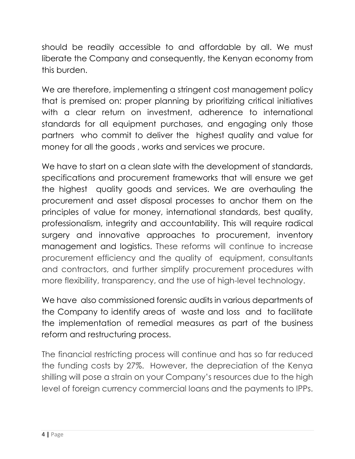should be readily accessible to and affordable by all. We must liberate the Company and consequently, the Kenyan economy from this burden.

We are therefore, implementing a stringent cost management policy that is premised on: proper planning by prioritizing critical initiatives with a clear return on investment, adherence to international standards for all equipment purchases, and engaging only those partners who commit to deliver the highest quality and value for money for all the goods , works and services we procure.

We have to start on a clean slate with the development of standards, specifications and procurement frameworks that will ensure we get the highest quality goods and services. We are overhauling the procurement and asset disposal processes to anchor them on the principles of value for money, international standards, best quality, professionalism, integrity and accountability. This will require radical surgery and innovative approaches to procurement, inventory management and logistics. These reforms will continue to increase procurement efficiency and the quality of equipment, consultants and contractors, and further simplify procurement procedures with more flexibility, transparency, and the use of high-level technology.

We have also commissioned forensic audits in various departments of the Company to identify areas of waste and loss and to facilitate the implementation of remedial measures as part of the business reform and restructuring process.

The financial restricting process will continue and has so far reduced the funding costs by 27%. However, the depreciation of the Kenya shilling will pose a strain on your Company's resources due to the high level of foreign currency commercial loans and the payments to IPPs.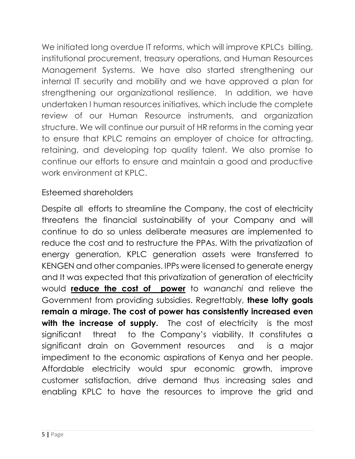We initiated long overdue IT reforms, which will improve KPLCs billing, institutional procurement, treasury operations, and Human Resources Management Systems. We have also started strengthening our internal IT security and mobility and we have approved a plan for strengthening our organizational resilience. In addition, we have undertaken l human resources initiatives, which include the complete review of our Human Resource instruments, and organization structure. We will continue our pursuit of HR reforms in the coming year to ensure that KPLC remains an employer of choice for attracting, retaining, and developing top quality talent. We also promise to continue our efforts to ensure and maintain a good and productive work environment at KPLC.

#### Esteemed shareholders

Despite all efforts to streamline the Company, the cost of electricity threatens the financial sustainability of your Company and will continue to do so unless deliberate measures are implemented to reduce the cost and to restructure the PPAs. With the privatization of energy generation, KPLC generation assets were transferred to KENGEN and other companies. IPPs were licensed to generate energy and It was expected that this privatization of generation of electricity would **reduce the cost of power** to *wananchi* and relieve the Government from providing subsidies. Regrettably, **these lofty goals remain a mirage. The cost of power has consistently increased even**  with the increase of supply. The cost of electricity is the most significant threat to the Company's viability. It constitutes a significant drain on Government resources and is a major impediment to the economic aspirations of Kenya and her people. Affordable electricity would spur economic growth, improve customer satisfaction, drive demand thus increasing sales and enabling KPLC to have the resources to improve the grid and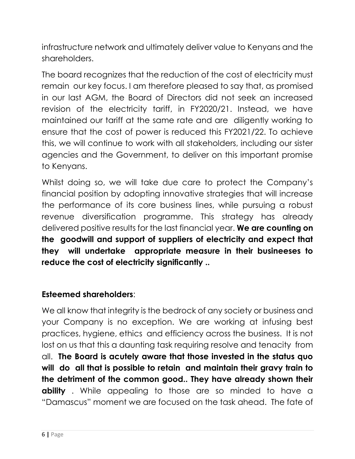infrastructure network and ultimately deliver value to Kenyans and the shareholders.

The board recognizes that the reduction of the cost of electricity must remain our key focus. I am therefore pleased to say that, as promised in our last AGM, the Board of Directors did not seek an increased revision of the electricity tariff, in FY2020/21. Instead, we have maintained our tariff at the same rate and are diligently working to ensure that the cost of power is reduced this FY2021/22. To achieve this, we will continue to work with all stakeholders, including our sister agencies and the Government, to deliver on this important promise to Kenyans.

Whilst doing so, we will take due care to protect the Company's financial position by adopting innovative strategies that will increase the performance of its core business lines, while pursuing a robust revenue diversification programme. This strategy has already delivered positive results for the last financial year. **We are counting on the goodwill and support of suppliers of electricity and expect that they will undertake appropriate measure in their busineeses to reduce the cost of electricity significantly ..**

# **Esteemed shareholders**:

We all know that integrity is the bedrock of any society or business and your Company is no exception. We are working at infusing best practices, hygiene, ethics and efficiency across the business. It is not lost on us that this a daunting task requiring resolve and tenacity from all. **The Board is acutely aware that those invested in the status quo will do all that is possible to retain and maintain their gravy train to the detriment of the common good.. They have already shown their ability** . While appealing to those are so minded to have a "Damascus" moment we are focused on the task ahead. The fate of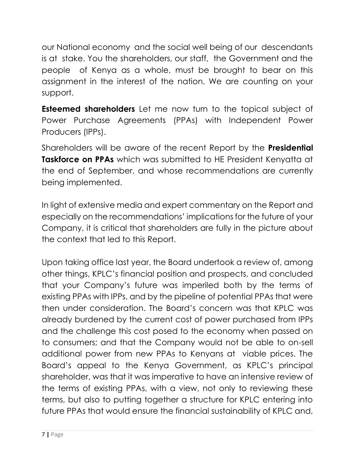our National economy and the social well being of our descendants is at stake. You the shareholders, our staff, the Government and the people of Kenya as a whole, must be brought to bear on this assignment in the interest of the nation. We are counting on your support.

**Esteemed shareholders** Let me now turn to the topical subject of Power Purchase Agreements (PPAs) with Independent Power Producers (IPPs).

Shareholders will be aware of the recent Report by the **Presidential Taskforce on PPAs** which was submitted to HE President Kenyatta at the end of September, and whose recommendations are currently being implemented.

In light of extensive media and expert commentary on the Report and especially on the recommendations' implications for the future of your Company, it is critical that shareholders are fully in the picture about the context that led to this Report.

Upon taking office last year, the Board undertook a review of, among other things, KPLC's financial position and prospects, and concluded that your Company's future was imperiled both by the terms of existing PPAs with IPPs, and by the pipeline of potential PPAs that were then under consideration. The Board's concern was that KPLC was already burdened by the current cost of power purchased from IPPs and the challenge this cost posed to the economy when passed on to consumers; and that the Company would not be able to on-sell additional power from new PPAs to Kenyans at viable prices. The Board's appeal to the Kenya Government, as KPLC's principal shareholder, was that it was imperative to have an intensive review of the terms of existing PPAs, with a view, not only to reviewing these terms, but also to putting together a structure for KPLC entering into future PPAs that would ensure the financial sustainability of KPLC and,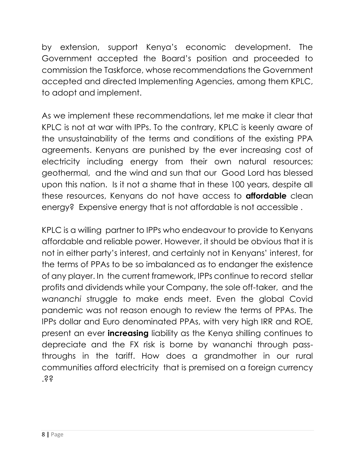by extension, support Kenya's economic development. The Government accepted the Board's position and proceeded to commission the Taskforce, whose recommendations the Government accepted and directed Implementing Agencies, among them KPLC, to adopt and implement.

As we implement these recommendations, let me make it clear that KPLC is not at war with IPPs. To the contrary, KPLC is keenly aware of the unsustainability of the terms and conditions of the existing PPA agreements. Kenyans are punished by the ever increasing cost of electricity including energy from their own natural resources; geothermal, and the wind and sun that our Good Lord has blessed upon this nation. Is it not a shame that in these 100 years, despite all these resources, Kenyans do not have access to **affordable** clean energy? Expensive energy that is not affordable is not accessible .

KPLC is a willing partner to IPPs who endeavour to provide to Kenyans affordable and reliable power. However, it should be obvious that it is not in either party's interest, and certainly not in Kenyans' interest, for the terms of PPAs to be so imbalanced as to endanger the existence of any player. In the current framework, IPPs continue to record stellar profits and dividends while your Company, the sole off-taker, and the *wananchi* struggle to make ends meet. Even the global Covid pandemic was not reason enough to review the terms of PPAs. The IPPs dollar and Euro denominated PPAs, with very high IRR and ROE, present an ever **increasing** liability as the Kenya shilling continues to depreciate and the FX risk is borne by wananchi through passthroughs in the tariff. How does a grandmother in our rural communities afford electricity that is premised on a foreign currency  $.$ ss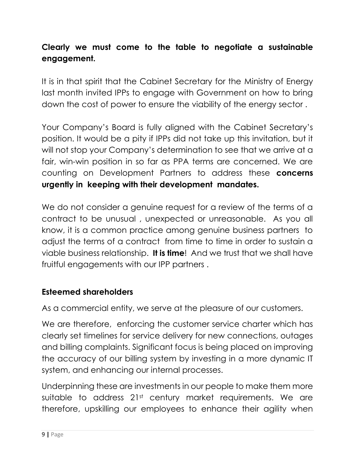# **Clearly we must come to the table to negotiate a sustainable engagement.**

It is in that spirit that the Cabinet Secretary for the Ministry of Energy last month invited IPPs to engage with Government on how to bring down the cost of power to ensure the viability of the energy sector .

Your Company's Board is fully aligned with the Cabinet Secretary's position. It would be a pity if IPPs did not take up this invitation, but it will not stop your Company's determination to see that we arrive at a fair, win-win position in so far as PPA terms are concerned. We are counting on Development Partners to address these **concerns urgently in keeping with their development mandates.**

We do not consider a genuine request for a review of the terms of a contract to be unusual , unexpected or unreasonable. As you all know, it is a common practice among genuine business partners to adjust the terms of a contract from time to time in order to sustain a viable business relationship. **It is time**! And we trust that we shall have fruitful engagements with our IPP partners .

### **Esteemed shareholders**

As a commercial entity, we serve at the pleasure of our customers.

We are therefore, enforcing the customer service charter which has clearly set timelines for service delivery for new connections, outages and billing complaints. Significant focus is being placed on improving the accuracy of our billing system by investing in a more dynamic IT system, and enhancing our internal processes.

Underpinning these are investments in our people to make them more suitable to address 21st century market requirements. We are therefore, upskilling our employees to enhance their agility when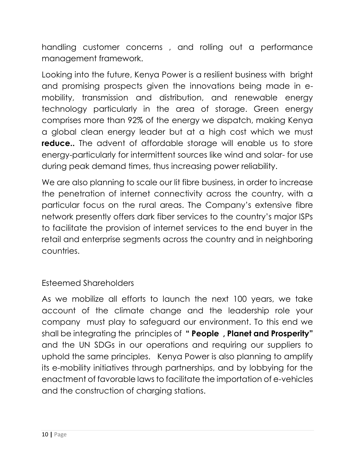handling customer concerns , and rolling out a performance management framework.

Looking into the future, Kenya Power is a resilient business with bright and promising prospects given the innovations being made in emobility, transmission and distribution, and renewable energy technology particularly in the area of storage. Green energy comprises more than 92% of the energy we dispatch, making Kenya a global clean energy leader but at a high cost which we must **reduce..** The advent of affordable storage will enable us to store energy-particularly for intermittent sources like wind and solar- for use during peak demand times, thus increasing power reliability.

We are also planning to scale our lit fibre business, in order to increase the penetration of internet connectivity across the country, with a particular focus on the rural areas. The Company's extensive fibre network presently offers dark fiber services to the country's major ISPs to facilitate the provision of internet services to the end buyer in the retail and enterprise segments across the country and in neighboring countries.

### Esteemed Shareholders

As we mobilize all efforts to launch the next 100 years, we take account of the climate change and the leadership role your company must play to safeguard our environment. To this end we shall be integrating the principles of **" People , Planet and Prosperity"** and the UN SDGs in our operations and requiring our suppliers to uphold the same principles. Kenya Power is also planning to amplify its e-mobility initiatives through partnerships, and by lobbying for the enactment of favorable laws to facilitate the importation of e-vehicles and the construction of charging stations.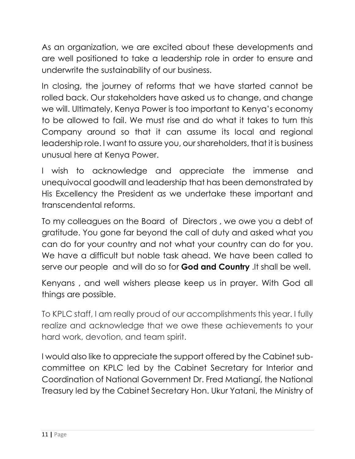As an organization, we are excited about these developments and are well positioned to take a leadership role in order to ensure and underwrite the sustainability of our business.

In closing, the journey of reforms that we have started cannot be rolled back. Our stakeholders have asked us to change, and change we will. Ultimately, Kenya Power is too important to Kenya's economy to be allowed to fail. We must rise and do what it takes to turn this Company around so that it can assume its local and regional leadership role. I want to assure you, our shareholders, that it is business unusual here at Kenya Power.

I wish to acknowledge and appreciate the immense and unequivocal goodwill and leadership that has been demonstrated by His Excellency the President as we undertake these important and transcendental reforms.

To my colleagues on the Board of Directors , we owe you a debt of gratitude. You gone far beyond the call of duty and asked what you can do for your country and not what your country can do for you. We have a difficult but noble task ahead. We have been called to serve our people and will do so for **God and Country** .It shall be well.

Kenyans , and well wishers please keep us in prayer. With God all things are possible.

To KPLC staff, I am really proud of our accomplishments this year. I fully realize and acknowledge that we owe these achievements to your hard work, devotion, and team spirit.

I would also like to appreciate the support offered by the Cabinet subcommittee on KPLC led by the Cabinet Secretary for Interior and Coordination of National Government Dr. Fred Matiangí, the National Treasury led by the Cabinet Secretary Hon. Ukur Yatani, the Ministry of